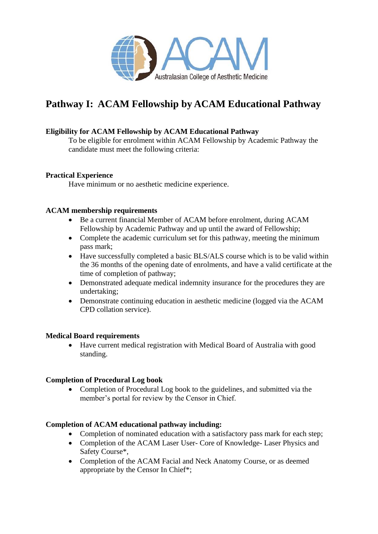

# **Pathway I: ACAM Fellowship by ACAM Educational Pathway**

# **Eligibility for ACAM Fellowship by ACAM Educational Pathway**

To be eligible for enrolment within ACAM Fellowship by Academic Pathway the candidate must meet the following criteria:

# **Practical Experience**

Have minimum or no aesthetic medicine experience.

## **ACAM membership requirements**

- Be a current financial Member of ACAM before enrolment, during ACAM Fellowship by Academic Pathway and up until the award of Fellowship;
- Complete the academic curriculum set for this pathway, meeting the minimum pass mark;
- Have successfully completed a basic BLS/ALS course which is to be valid within the 36 months of the opening date of enrolments, and have a valid certificate at the time of completion of pathway;
- Demonstrated adequate medical indemnity insurance for the procedures they are undertaking;
- Demonstrate continuing education in aesthetic medicine (logged via the ACAM CPD collation service).

#### **Medical Board requirements**

• Have current medical registration with Medical Board of Australia with good standing.

# **Completion of Procedural Log book**

• Completion of Procedural Log book to the guidelines, and submitted via the member's portal for review by the Censor in Chief.

#### **Completion of ACAM educational pathway including:**

- Completion of nominated education with a satisfactory pass mark for each step;
- Completion of the ACAM Laser User- Core of Knowledge- Laser Physics and Safety Course\*,
- Completion of the ACAM Facial and Neck Anatomy Course, or as deemed appropriate by the Censor In Chief\*;